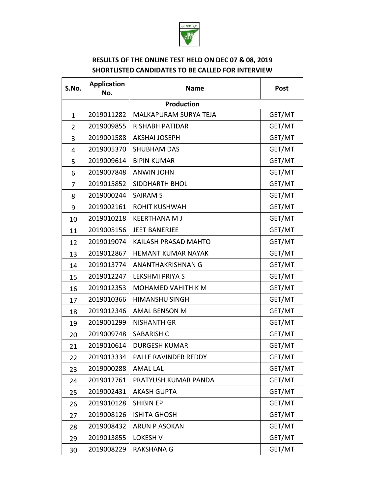

 $\overline{\phantom{a}}$ 

## **RESULTS OF THE ONLINE TEST HELD ON DEC 07 & 08, 2019 SHORTLISTED CANDIDATES TO BE CALLED FOR INTERVIEW**

 $\overline{\mathsf{T}}$ 

| S.No.             | <b>Application</b><br>No. | <b>Name</b>                  | <b>Post</b> |  |
|-------------------|---------------------------|------------------------------|-------------|--|
| <b>Production</b> |                           |                              |             |  |
| $\mathbf{1}$      | 2019011282                | <b>MALKAPURAM SURYA TEJA</b> | GET/MT      |  |
| $\overline{2}$    | 2019009855                | <b>RISHABH PATIDAR</b>       | GET/MT      |  |
| 3                 | 2019001588                | <b>AKSHAI JOSEPH</b>         | GET/MT      |  |
| 4                 | 2019005370                | <b>SHUBHAM DAS</b>           | GET/MT      |  |
| 5                 | 2019009614                | <b>BIPIN KUMAR</b>           | GET/MT      |  |
| 6                 | 2019007848                | <b>ANWIN JOHN</b>            | GET/MT      |  |
| 7                 | 2019015852                | <b>SIDDHARTH BHOL</b>        | GET/MT      |  |
| 8                 | 2019000244                | <b>SAIRAM S</b>              | GET/MT      |  |
| 9                 | 2019002161                | <b>ROHIT KUSHWAH</b>         | GET/MT      |  |
| 10                | 2019010218                | <b>KEERTHANA MJ</b>          | GET/MT      |  |
| 11                | 2019005156                | <b>JEET BANERJEE</b>         | GET/MT      |  |
| 12                | 2019019074                | <b>KAILASH PRASAD MAHTO</b>  | GET/MT      |  |
| 13                | 2019012867                | <b>HEMANT KUMAR NAYAK</b>    | GET/MT      |  |
| 14                | 2019013774                | ANANTHAKRISHNAN G            | GET/MT      |  |
| 15                | 2019012247                | <b>LEKSHMI PRIYA S</b>       | GET/MT      |  |
| 16                | 2019012353                | <b>MOHAMED VAHITH K M</b>    | GET/MT      |  |
| 17                | 2019010366                | <b>HIMANSHU SINGH</b>        | GET/MT      |  |
| 18                | 2019012346                | <b>AMAL BENSON M</b>         | GET/MT      |  |
| 19                | 2019001299                | <b>NISHANTH GR</b>           | GET/MT      |  |
| 20                | 2019009748                | <b>SABARISH C</b>            | GET/MT      |  |
| 21                | 2019010614                | <b>DURGESH KUMAR</b>         | GET/MT      |  |
| 22                | 2019013334                | PALLE RAVINDER REDDY         | GET/MT      |  |
| 23                | 2019000288                | <b>AMAL LAL</b>              | GET/MT      |  |
| 24                | 2019012761                | PRATYUSH KUMAR PANDA         | GET/MT      |  |
| 25                | 2019002431                | <b>AKASH GUPTA</b>           | GET/MT      |  |
| 26                | 2019010128                | <b>SHIBIN EP</b>             | GET/MT      |  |
| 27                | 2019008126                | <b>ISHITA GHOSH</b>          | GET/MT      |  |
| 28                | 2019008432                | ARUN P ASOKAN                | GET/MT      |  |
| 29                | 2019013855                | <b>LOKESH V</b>              | GET/MT      |  |
| 30                | 2019008229                | <b>RAKSHANA G</b>            | GET/MT      |  |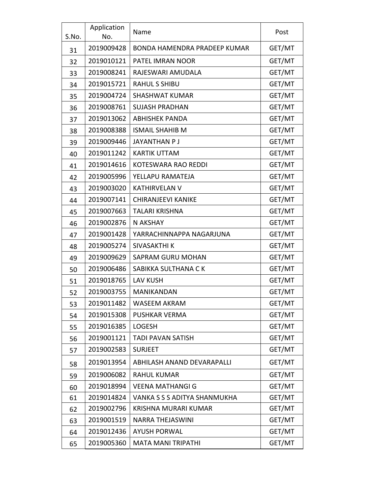| S.No. | Application<br>No. | Name                         | Post   |
|-------|--------------------|------------------------------|--------|
| 31    | 2019009428         | BONDA HAMENDRA PRADEEP KUMAR | GET/MT |
| 32    | 2019010121         | <b>PATEL IMRAN NOOR</b>      | GET/MT |
| 33    | 2019008241         | RAJESWARI AMUDALA            | GET/MT |
| 34    | 2019015721         | <b>RAHUL S SHIBU</b>         | GET/MT |
| 35    | 2019004724         | <b>SHASHWAT KUMAR</b>        | GET/MT |
| 36    | 2019008761         | <b>SUJASH PRADHAN</b>        | GET/MT |
| 37    | 2019013062         | <b>ABHISHEK PANDA</b>        | GET/MT |
| 38    | 2019008388         | <b>ISMAIL SHAHIB M</b>       | GET/MT |
| 39    | 2019009446         | <b>JAYANTHAN P J</b>         | GET/MT |
| 40    | 2019011242         | <b>KARTIK UTTAM</b>          | GET/MT |
| 41    | 2019014616         | <b>KOTESWARA RAO REDDI</b>   | GET/MT |
| 42    | 2019005996         | YELLAPU RAMATEJA             | GET/MT |
| 43    | 2019003020         | <b>KATHIRVELAN V</b>         | GET/MT |
| 44    | 2019007141         | <b>CHIRANJEEVI KANIKE</b>    | GET/MT |
| 45    | 2019007663         | <b>TALARI KRISHNA</b>        | GET/MT |
| 46    | 2019002876         | N AKSHAY                     | GET/MT |
| 47    | 2019001428         | YARRACHINNAPPA NAGARJUNA     | GET/MT |
| 48    | 2019005274         | <b>SIVASAKTHI K</b>          | GET/MT |
| 49    | 2019009629         | SAPRAM GURU MOHAN            | GET/MT |
| 50    | 2019006486         | SABIKKA SULTHANA CK          | GET/MT |
| 51    | 2019018765         | <b>LAV KUSH</b>              | GET/MT |
| 52    | 2019003755         | MANIKANDAN                   | GET/MT |
| 53    | 2019011482         | WASEEM AKRAM                 | GET/MT |
| 54    | 2019015308         | <b>PUSHKAR VERMA</b>         | GET/MT |
| 55    | 2019016385         | <b>LOGESH</b>                | GET/MT |
| 56    | 2019001121         | <b>TADI PAVAN SATISH</b>     | GET/MT |
| 57    | 2019002583         | <b>SURJEET</b>               | GET/MT |
| 58    | 2019013954         | ABHILASH ANAND DEVARAPALLI   | GET/MT |
| 59    | 2019006082         | <b>RAHUL KUMAR</b>           | GET/MT |
| 60    | 2019018994         | <b>VEENA MATHANGI G</b>      | GET/MT |
| 61    | 2019014824         | VANKA S S S ADITYA SHANMUKHA | GET/MT |
| 62    | 2019002796         | KRISHNA MURARI KUMAR         | GET/MT |
| 63    | 2019001519         | <b>NARRA THEJASWINI</b>      | GET/MT |
| 64    | 2019012436         | <b>AYUSH PORWAL</b>          | GET/MT |
| 65    | 2019005360         | <b>MATA MANI TRIPATHI</b>    | GET/MT |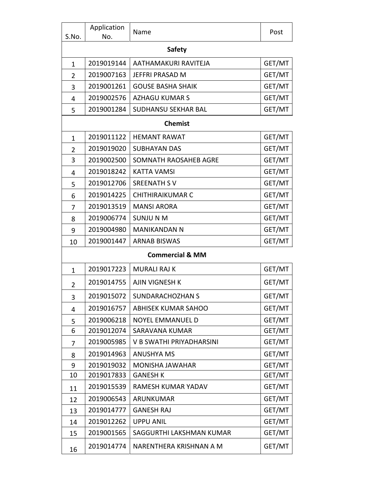| S.No.          | Application<br>No. | Name                       | Post   |
|----------------|--------------------|----------------------------|--------|
| <b>Safety</b>  |                    |                            |        |
| 1              | 2019019144         | AATHAMAKURI RAVITEJA       | GET/MT |
| $\overline{2}$ | 2019007163         | <b>JEFFRI PRASAD M</b>     | GET/MT |
| 3              | 2019001261         | <b>GOUSE BASHA SHAIK</b>   | GET/MT |
| 4              | 2019002576         | <b>AZHAGU KUMAR S</b>      | GET/MT |
| 5              | 2019001284         | <b>SUDHANSU SEKHAR BAL</b> | GET/MT |
|                |                    | <b>Chemist</b>             |        |
| $\mathbf{1}$   | 2019011122         | <b>HEMANT RAWAT</b>        | GET/MT |
| $\overline{2}$ | 2019019020         | <b>SUBHAYAN DAS</b>        | GET/MT |
| 3              | 2019002500         | SOMNATH RAOSAHEB AGRE      | GET/MT |
| 4              | 2019018242         | <b>KATTA VAMSI</b>         | GET/MT |
| 5              | 2019012706         | <b>SREENATH SV</b>         | GET/MT |
| 6              | 2019014225         | <b>CHITHIRAIKUMAR C</b>    | GET/MT |
| 7              | 2019013519         | <b>MANSI ARORA</b>         | GET/MT |
| 8              | 2019006774         | <b>SUNJUNM</b>             | GET/MT |
| 9              | 2019004980         | <b>MANIKANDAN N</b>        | GET/MT |
| 10             | 2019001447         | <b>ARNAB BISWAS</b>        | GET/MT |
|                |                    | <b>Commercial &amp; MM</b> |        |
| 1              | 2019017223         | <b>MURALI RAJ K</b>        | GET/MT |
| 2              | 2019014755         | <b>AJIN VIGNESH K</b>      | GET/MT |
| 3              | 2019015072         | <b>SUNDARACHOZHAN S</b>    | GET/MT |
| 4              | 2019016757         | <b>ABHISEK KUMAR SAHOO</b> | GET/MT |
| 5              | 2019006218         | <b>NOYEL EMMANUEL D</b>    | GET/MT |
| 6              | 2019012074         | SARAVANA KUMAR             | GET/MT |
| 7              | 2019005985         | V B SWATHI PRIYADHARSINI   | GET/MT |
| 8              | 2019014963         | <b>ANUSHYA MS</b>          | GET/MT |
| 9              | 2019019032         | <b>MONISHA JAWAHAR</b>     | GET/MT |
| 10             | 2019017833         | <b>GANESH K</b>            | GET/MT |
| 11             | 2019015539         | RAMESH KUMAR YADAV         | GET/MT |
| 12             | 2019006543         | <b>ARUNKUMAR</b>           | GET/MT |
| 13             | 2019014777         | <b>GANESH RAJ</b>          | GET/MT |
| 14             | 2019012262         | <b>UPPU ANIL</b>           | GET/MT |
| 15             | 2019001565         | SAGGURTHI LAKSHMAN KUMAR   | GET/MT |
| 16             | 2019014774         | NARENTHERA KRISHNAN A M    | GET/MT |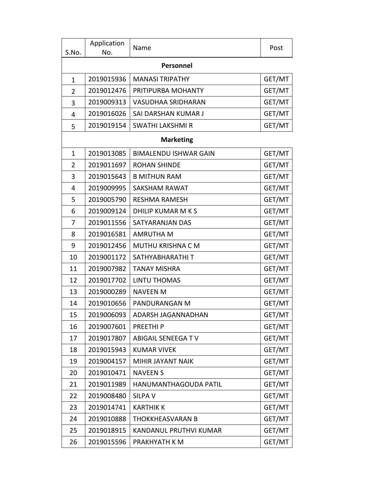| S.No.          | Application<br>No. | Name                         | Post   |
|----------------|--------------------|------------------------------|--------|
| Personnel      |                    |                              |        |
| $\mathbf{1}$   | 2019015936         | <b>MANASI TRIPATHY</b>       | GET/MT |
| $\overline{2}$ | 2019012476         | PRITIPURBA MOHANTY           | GET/MT |
| 3              | 2019009313         | <b>VASUDHAA SRIDHARAN</b>    | GET/MT |
| 4              | 2019016026         | SAI DARSHAN KUMAR J          | GET/MT |
| 5              | 2019019154         | SWATHI LAKSHMI R             | GET/MT |
|                |                    | <b>Marketing</b>             |        |
| $\mathbf{1}$   | 2019013085         | <b>BIMALENDU ISHWAR GAIN</b> | GET/MT |
| $\overline{2}$ | 2019011697         | <b>ROHAN SHINDE</b>          | GET/MT |
| 3              | 2019015643         | <b>B MITHUN RAM</b>          | GET/MT |
| 4              | 2019009995         | <b>SAKSHAM RAWAT</b>         | GET/MT |
| 5              | 2019005790         | <b>RESHMA RAMESH</b>         | GET/MT |
| 6              | 2019009124         | DHILIP KUMAR M K S           | GET/MT |
| 7              | 2019011556         | SATYARANJAN DAS              | GET/MT |
| 8              | 2019016581         | <b>AMRUTHA M</b>             | GET/MT |
| 9              | 2019012456         | MUTHU KRISHNA C M            | GET/MT |
| 10             | 2019001172         | SATHYABHARATHI T             | GET/MT |
| 11             | 2019007982         | <b>TANAY MISHRA</b>          | GET/MT |
| 12             | 2019017702         | <b>LINTU THOMAS</b>          | GET/MT |
| 13             | 2019000289         | <b>NAVEEN M</b>              | GET/MT |
| 14             | 2019010656         | PANDURANGAN M                | GET/MT |
| 15             | 2019006093         | ADARSH JAGANNADHAN           | GET/MT |
| 16             | 2019007601         | PREETHI <sub>P</sub>         | GET/MT |
| 17             | 2019017807         | <b>ABIGAIL SENEEGATV</b>     | GET/MT |
| 18             | 2019015943         | <b>KUMAR VIVEK</b>           | GET/MT |
| 19             | 2019004157         | MIHIR JAYANT NAIK            | GET/MT |
| 20             | 2019010471         | <b>NAVEEN S</b>              | GET/MT |
| 21             | 2019011989         | HANUMANTHAGOUDA PATIL        | GET/MT |
| 22             | 2019008480         | <b>SILPA V</b>               | GET/MT |
| 23             | 2019014741         | <b>KARTHIK K</b>             | GET/MT |
| 24             | 2019010888         | THOKKHEASVARAN B             | GET/MT |
| 25             | 2019018915         | KANDANUL PRUTHVI KUMAR       | GET/MT |
| 26             | 2019015596         | PRAKHYATH K M                | GET/MT |